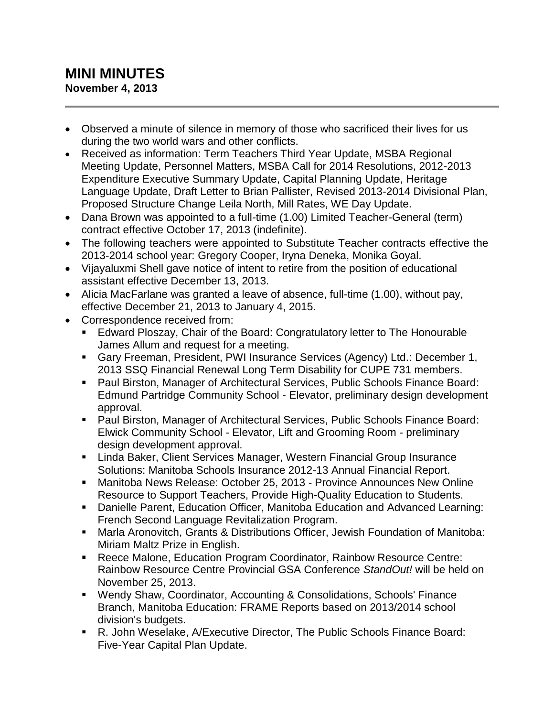## **MINI MINUTES November 4, 2013**

- Observed a minute of silence in memory of those who sacrificed their lives for us during the two world wars and other conflicts.
- Received as information: Term Teachers Third Year Update, MSBA Regional Meeting Update, Personnel Matters, MSBA Call for 2014 Resolutions, 2012-2013 Expenditure Executive Summary Update, Capital Planning Update, Heritage Language Update, Draft Letter to Brian Pallister, Revised 2013-2014 Divisional Plan, Proposed Structure Change Leila North, Mill Rates, WE Day Update.
- Dana Brown was appointed to a full-time (1.00) Limited Teacher-General (term) contract effective October 17, 2013 (indefinite).
- The following teachers were appointed to Substitute Teacher contracts effective the 2013-2014 school year: Gregory Cooper, Iryna Deneka, Monika Goyal.
- Vijayaluxmi Shell gave notice of intent to retire from the position of educational assistant effective December 13, 2013.
- Alicia MacFarlane was granted a leave of absence, full-time (1.00), without pay, effective December 21, 2013 to January 4, 2015.
- Correspondence received from:
	- Edward Ploszay, Chair of the Board: Congratulatory letter to The Honourable James Allum and request for a meeting.
	- Gary Freeman, President, PWI Insurance Services (Agency) Ltd.: December 1, 2013 SSQ Financial Renewal Long Term Disability for CUPE 731 members.
	- Paul Birston, Manager of Architectural Services, Public Schools Finance Board: Edmund Partridge Community School - Elevator, preliminary design development approval.
	- Paul Birston, Manager of Architectural Services, Public Schools Finance Board: Elwick Community School - Elevator, Lift and Grooming Room - preliminary design development approval.
	- **E.** Linda Baker, Client Services Manager, Western Financial Group Insurance Solutions: Manitoba Schools Insurance 2012-13 Annual Financial Report.
	- Manitoba News Release: October 25, 2013 Province Announces New Online Resource to Support Teachers, Provide High-Quality Education to Students.
	- Danielle Parent, Education Officer, Manitoba Education and Advanced Learning: French Second Language Revitalization Program.
	- Marla Aronovitch, Grants & Distributions Officer, Jewish Foundation of Manitoba: Miriam Maltz Prize in English.
	- Reece Malone, Education Program Coordinator, Rainbow Resource Centre: Rainbow Resource Centre Provincial GSA Conference *StandOut!* will be held on November 25, 2013.
	- Wendy Shaw, Coordinator, Accounting & Consolidations, Schools' Finance Branch, Manitoba Education: FRAME Reports based on 2013/2014 school division's budgets.
	- R. John Weselake, A/Executive Director, The Public Schools Finance Board: Five-Year Capital Plan Update.